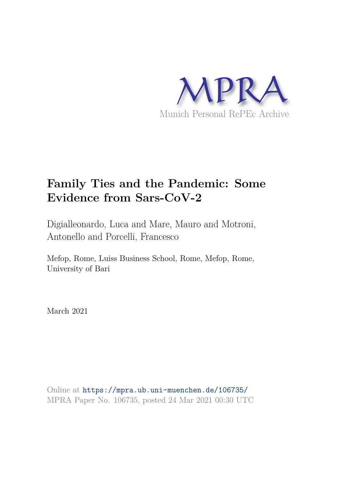

# **Family Ties and the Pandemic: Some Evidence from Sars-CoV-2**

Digialleonardo, Luca and Mare, Mauro and Motroni, Antonello and Porcelli, Francesco

Mefop, Rome, Luiss Business School, Rome, Mefop, Rome, University of Bari

March 2021

Online at https://mpra.ub.uni-muenchen.de/106735/ MPRA Paper No. 106735, posted 24 Mar 2021 00:30 UTC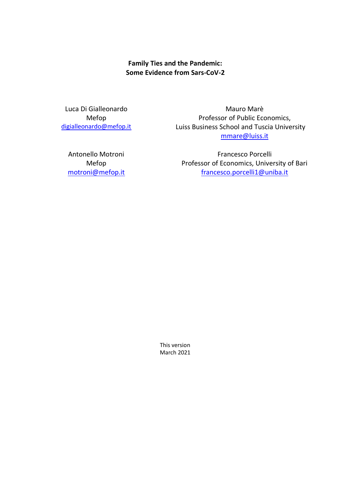**Family Ties and the Pandemic: Some Evidence from Sars-CoV-2** 

Luca Di Gialleonardo Mefop [digialleonardo@mefop.it](mailto:digialleonardo@mefop.it)

Mauro Marè Professor of Public Economics, Luiss Business School and Tuscia University [mmare@luiss.it](mailto:mmare@luiss.it)

Antonello Motroni Mefop [motroni@mefop.it](mailto:motroni@mefop.it)

Francesco Porcelli Professor of Economics, University of Bari [francesco.porcelli1@uniba.it](mailto:francesco.porcelli1@uniba.it)

This version March 2021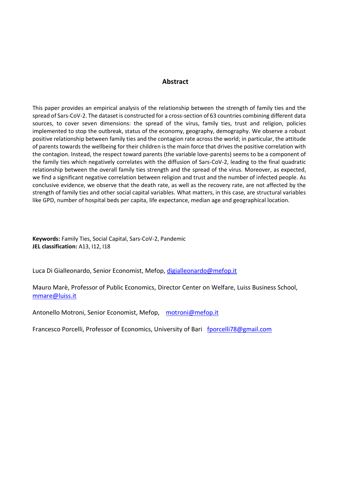#### **Abstract**

This paper provides an empirical analysis of the relationship between the strength of family ties and the spread of Sars-CoV-2. The dataset is constructed for a cross-section of 63 countries combining different data sources, to cover seven dimensions: the spread of the virus, family ties, trust and religion, policies implemented to stop the outbreak, status of the economy, geography, demography. We observe a robust positive relationship between family ties and the contagion rate across the world; in particular, the attitude of parents towards the wellbeing for their children is the main force that drives the positive correlation with the contagion. Instead, the respect toward parents (the variable love-parents) seems to be a component of the family ties which negatively correlates with the diffusion of Sars-CoV-2, leading to the final quadratic relationship between the overall family ties strength and the spread of the virus. Moreover, as expected, we find a significant negative correlation between religion and trust and the number of infected people. As conclusive evidence, we observe that the death rate, as well as the recovery rate, are not affected by the strength of family ties and other social capital variables. What matters, in this case, are structural variables like GPD, number of hospital beds per capita, life expectance, median age and geographical location.

**Keywords:** Family Ties, Social Capital, Sars-CoV-2, Pandemic **JEL classification:** A13, I12, I18

Luca Di Gialleonardo, Senior Economist, Mefop, [digialleonardo@mefop.it](mailto:digialleonardo@mefop.it)

Mauro Marè, Professor of Public Economics, Director Center on Welfare, Luiss Business School, [mmare@luiss.it](mailto:mmare@luiss.it)

Antonello Motroni, Senior Economist, Mefop, [motroni@mefop.it](mailto:motroni@mefop.it)

Francesco Porcelli, Professor of Economics, University of Bari [fporcelli78@gmail.com](mailto:fporcelli78@gmail.com)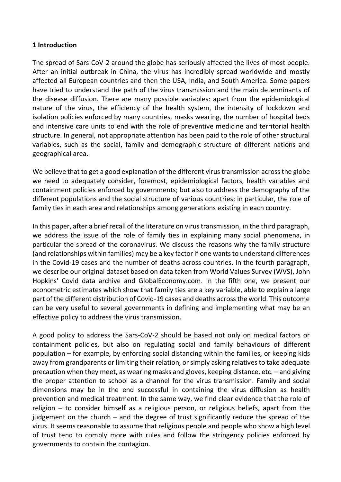# **1 Introduction**

The spread of Sars-CoV-2 around the globe has seriously affected the lives of most people. After an initial outbreak in China, the virus has incredibly spread worldwide and mostly affected all European countries and then the USA, India, and South America. Some papers have tried to understand the path of the virus transmission and the main determinants of the disease diffusion. There are many possible variables: apart from the epidemiological nature of the virus, the efficiency of the health system, the intensity of lockdown and isolation policies enforced by many countries, masks wearing, the number of hospital beds and intensive care units to end with the role of preventive medicine and territorial health structure. In general, not appropriate attention has been paid to the role of other structural variables, such as the social, family and demographic structure of different nations and geographical area.

We believe that to get a good explanation of the different virus transmission across the globe we need to adequately consider, foremost, epidemiological factors, health variables and containment policies enforced by governments; but also to address the demography of the different populations and the social structure of various countries; in particular, the role of family ties in each area and relationships among generations existing in each country.

In this paper, after a brief recall of the literature on virus transmission, in the third paragraph, we address the issue of the role of family ties in explaining many social phenomena, in particular the spread of the coronavirus. We discuss the reasons why the family structure (and relationships within families) may be a key factor if one wants to understand differences in the Covid-19 cases and the number of deaths across countries. In the fourth paragraph, we describe our original dataset based on data taken from World Values Survey (WVS), John Hopkins' Covid data archive and GlobalEconomy.com. In the fifth one, we present our econometric estimates which show that family ties are a key variable, able to explain a large part of the different distribution of Covid-19 cases and deaths across the world. This outcome can be very useful to several governments in defining and implementing what may be an effective policy to address the virus transmission.

A good policy to address the Sars-CoV-2 should be based not only on medical factors or containment policies, but also on regulating social and family behaviours of different population – for example, by enforcing social distancing within the families, or keeping kids away from grandparents or limiting their relation, or simply asking relatives to take adequate precaution when they meet, as wearing masks and gloves, keeping distance, etc. – and giving the proper attention to school as a channel for the virus transmission. Family and social dimensions may be in the end successful in containing the virus diffusion as health prevention and medical treatment. In the same way, we find clear evidence that the role of religion – to consider himself as a religious person, or religious beliefs, apart from the judgement on the church – and the degree of trust significantly reduce the spread of the virus. It seems reasonable to assume that religious people and people who show a high level of trust tend to comply more with rules and follow the stringency policies enforced by governments to contain the contagion.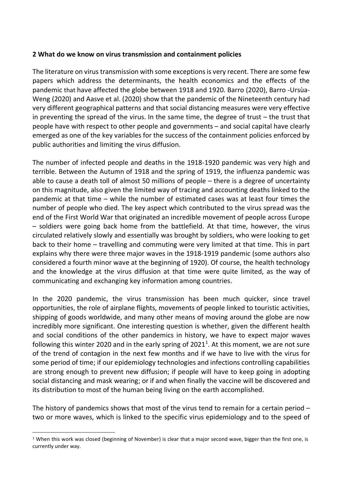# **2 What do we know on virus transmission and containment policies**

The literature on virus transmission with some exceptions is very recent. There are some few papers which address the determinants, the health economics and the effects of the pandemic that have affected the globe between 1918 and 1920. Barro (2020), Barro -Ursùa-Weng (2020) and Aasve et al. (2020) show that the pandemic of the Nineteenth century had very different geographical patterns and that social distancing measures were very effective in preventing the spread of the virus. In the same time, the degree of trust – the trust that people have with respect to other people and governments – and social capital have clearly emerged as one of the key variables for the success of the containment policies enforced by public authorities and limiting the virus diffusion.

The number of infected people and deaths in the 1918-1920 pandemic was very high and terrible. Between the Autumn of 1918 and the spring of 1919, the influenza pandemic was able to cause a death toll of almost 50 millions of people – there is a degree of uncertainty on this magnitude, also given the limited way of tracing and accounting deaths linked to the pandemic at that time – while the number of estimated cases was at least four times the number of people who died. The key aspect which contributed to the virus spread was the end of the First World War that originated an incredible movement of people across Europe – soldiers were going back home from the battlefield. At that time, however, the virus circulated relatively slowly and essentially was brought by soldiers, who were looking to get back to their home – travelling and commuting were very limited at that time. This in part explains why there were three major waves in the 1918-1919 pandemic (some authors also considered a fourth minor wave at the beginning of 1920). Of course, the health technology and the knowledge at the virus diffusion at that time were quite limited, as the way of communicating and exchanging key information among countries.

In the 2020 pandemic, the virus transmission has been much quicker, since travel opportunities, the role of airplane flights, movements of people linked to touristic activities, shipping of goods worldwide, and many other means of moving around the globe are now incredibly more significant. One interesting question is whether, given the different health and social conditions of the other pandemics in history, we have to expect major waves following this winter 2020 and in the early spring of 2021<sup>1</sup>. At this moment, we are not sure of the trend of contagion in the next few months and if we have to live with the virus for some period of time; if our epidemiology technologies and infections controlling capabilities are strong enough to prevent new diffusion; if people will have to keep going in adopting social distancing and mask wearing; or if and when finally the vaccine will be discovered and its distribution to most of the human being living on the earth accomplished.

The history of pandemics shows that most of the virus tend to remain for a certain period – two or more waves, which is linked to the specific virus epidemiology and to the speed of

<sup>&</sup>lt;sup>1</sup> When this work was closed (beginning of November) is clear that a major second wave, bigger than the first one, is currently under way.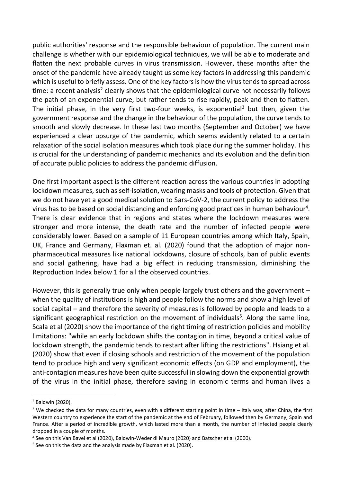public authorities' response and the responsible behaviour of population. The current main challenge is whether with our epidemiological techniques, we will be able to moderate and flatten the next probable curves in virus transmission. However, these months after the onset of the pandemic have already taught us some key factors in addressing this pandemic which is useful to briefly assess. One of the key factors is how the virus tends to spread across time: a recent analysis<sup>2</sup> clearly shows that the epidemiological curve not necessarily follows the path of an exponential curve, but rather tends to rise rapidly, peak and then to flatten. The initial phase, in the very first two-four weeks, is exponential<sup>3</sup> but then, given the government response and the change in the behaviour of the population, the curve tends to smooth and slowly decrease. In these last two months (September and October) we have experienced a clear upsurge of the pandemic, which seems evidently related to a certain relaxation of the social isolation measures which took place during the summer holiday. This is crucial for the understanding of pandemic mechanics and its evolution and the definition of accurate public policies to address the pandemic diffusion.

One first important aspect is the different reaction across the various countries in adopting lockdown measures, such as self-isolation, wearing masks and tools of protection. Given that we do not have yet a good medical solution to Sars-CoV-2, the current policy to address the virus has to be based on social distancing and enforcing good practices in human behaviour<sup>4</sup>. There is clear evidence that in regions and states where the lockdown measures were stronger and more intense, the death rate and the number of infected people were considerably lower. Based on a sample of 11 European countries among which Italy, Spain, UK, France and Germany, Flaxman et. al. (2020) found that the adoption of major nonpharmaceutical measures like national lockdowns, closure of schools, ban of public events and social gathering, have had a big effect in reducing transmission, diminishing the Reproduction Index below 1 for all the observed countries.

However, this is generally true only when people largely trust others and the government – when the quality of institutions is high and people follow the norms and show a high level of social capital – and therefore the severity of measures is followed by people and leads to a significant geographical restriction on the movement of individuals<sup>5</sup>. Along the same line, Scala et al (2020) show the importance of the right timing of restriction policies and mobility limitations: "while an early lockdown shifts the contagion in time, beyond a critical value of lockdown strength, the pandemic tends to restart after lifting the restrictions". Hsiang et al. (2020) show that even if closing schools and restriction of the movement of the population tend to produce high and very significant economic effects (on GDP and employment), the anti-contagion measures have been quite successful in slowing down the exponential growth of the virus in the initial phase, therefore saving in economic terms and human lives a

<sup>2</sup> Baldwin (2020).

<sup>&</sup>lt;sup>3</sup> We checked the data for many countries, even with a different starting point in time – Italy was, after China, the first Western country to experience the start of the pandemic at the end of February, followed then by Germany, Spain and France. After a period of incredible growth, which lasted more than a month, the number of infected people clearly dropped in a couple of months.

<sup>4</sup> See on this Van Bavel et al (2020), Baldwin-Weder di Mauro (2020) and Batscher et al (2000).

<sup>&</sup>lt;sup>5</sup> See on this the data and the analysis made by Flaxman et al. (2020).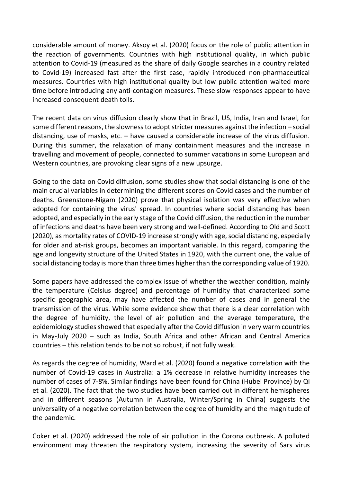considerable amount of money. Aksoy et al. (2020) focus on the role of public attention in the reaction of governments. Countries with high institutional quality, in which public attention to Covid-19 (measured as the share of daily Google searches in a country related to Covid-19) increased fast after the first case, rapidly introduced non-pharmaceutical measures. Countries with high institutional quality but low public attention waited more time before introducing any anti-contagion measures. These slow responses appear to have increased consequent death tolls.

The recent data on virus diffusion clearly show that in Brazil, US, India, Iran and Israel, for some different reasons, the slowness to adopt stricter measures against the infection – social distancing, use of masks, etc. – have caused a considerable increase of the virus diffusion. During this summer, the relaxation of many containment measures and the increase in travelling and movement of people, connected to summer vacations in some European and Western countries, are provoking clear signs of a new upsurge.

Going to the data on Covid diffusion, some studies show that social distancing is one of the main crucial variables in determining the different scores on Covid cases and the number of deaths. Greenstone-Nigam (2020) prove that physical isolation was very effective when adopted for containing the virus' spread. In countries where social distancing has been adopted, and especially in the early stage of the Covid diffusion, the reduction in the number of infections and deaths have been very strong and well-defined. According to Old and Scott (2020), as mortality rates of COVID-19 increase strongly with age, social distancing, especially for older and at-risk groups, becomes an important variable. In this regard, comparing the age and longevity structure of the United States in 1920, with the current one, the value of social distancing today is more than three times higher than the corresponding value of 1920.

Some papers have addressed the complex issue of whether the weather condition, mainly the temperature (Celsius degree) and percentage of humidity that characterized some specific geographic area, may have affected the number of cases and in general the transmission of the virus. While some evidence show that there is a clear correlation with the degree of humidity, the level of air pollution and the average temperature, the epidemiology studies showed that especially after the Covid diffusion in very warm countries in May-July 2020 – such as India, South Africa and other African and Central America countries – this relation tends to be not so robust, if not fully weak.

As regards the degree of humidity, Ward et al. (2020) found a negative correlation with the number of Covid-19 cases in Australia: a 1% decrease in relative humidity increases the number of cases of 7-8%. Similar findings have been found for China (Hubei Province) by Qi et al. (2020). The fact that the two studies have been carried out in different hemispheres and in different seasons (Autumn in Australia, Winter/Spring in China) suggests the universality of a negative correlation between the degree of humidity and the magnitude of the pandemic.

Coker et al. (2020) addressed the role of air pollution in the Corona outbreak. A polluted environment may threaten the respiratory system, increasing the severity of Sars virus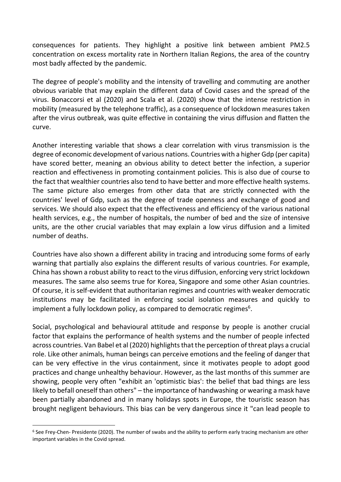consequences for patients. They highlight a positive link between ambient PM2.5 concentration on excess mortality rate in Northern Italian Regions, the area of the country most badly affected by the pandemic.

The degree of people's mobility and the intensity of travelling and commuting are another obvious variable that may explain the different data of Covid cases and the spread of the virus. Bonaccorsi et al (2020) and Scala et al. (2020) show that the intense restriction in mobility (measured by the telephone traffic), as a consequence of lockdown measures taken after the virus outbreak, was quite effective in containing the virus diffusion and flatten the curve.

Another interesting variable that shows a clear correlation with virus transmission is the degree of economic development of various nations. Countries with a higher Gdp (per capita) have scored better, meaning an obvious ability to detect better the infection, a superior reaction and effectiveness in promoting containment policies. This is also due of course to the fact that wealthier countries also tend to have better and more effective health systems. The same picture also emerges from other data that are strictly connected with the countries' level of Gdp, such as the degree of trade openness and exchange of good and services. We should also expect that the effectiveness and efficiency of the various national health services, e.g., the number of hospitals, the number of bed and the size of intensive units, are the other crucial variables that may explain a low virus diffusion and a limited number of deaths.

Countries have also shown a different ability in tracing and introducing some forms of early warning that partially also explains the different results of various countries. For example, China has shown a robust ability to react to the virus diffusion, enforcing very strict lockdown measures. The same also seems true for Korea, Singapore and some other Asian countries. Of course, it is self-evident that authoritarian regimes and countries with weaker democratic institutions may be facilitated in enforcing social isolation measures and quickly to implement a fully lockdown policy, as compared to democratic regimes<sup>6</sup>.

Social, psychological and behavioural attitude and response by people is another crucial factor that explains the performance of health systems and the number of people infected across countries. Van Babel et al (2020) highlights that the perception of threat plays a crucial role. Like other animals, human beings can perceive emotions and the feeling of danger that can be very effective in the virus containment, since it motivates people to adopt good practices and change unhealthy behaviour. However, as the last months of this summer are showing, people very often "exhibit an 'optimistic bias': the belief that bad things are less likely to befall oneself than others" – the importance of handwashing or wearing a mask have been partially abandoned and in many holidays spots in Europe, the touristic season has brought negligent behaviours. This bias can be very dangerous since it "can lead people to

<sup>&</sup>lt;sup>6</sup> See Frey-Chen- Presidente (2020). The number of swabs and the ability to perform early tracing mechanism are other important variables in the Covid spread.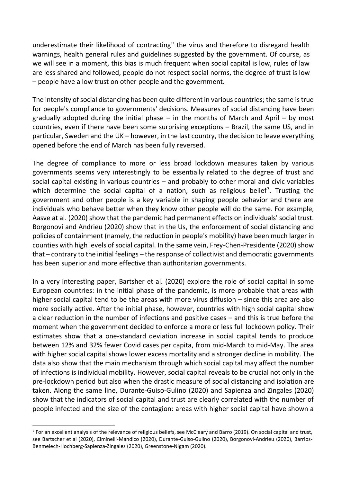underestimate their likelihood of contracting" the virus and therefore to disregard health warnings, health general rules and guidelines suggested by the government. Of course, as we will see in a moment, this bias is much frequent when social capital is low, rules of law are less shared and followed, people do not respect social norms, the degree of trust is low – people have a low trust on other people and the government.

The intensity of social distancing has been quite different in various countries; the same is true for people's compliance to governments' decisions. Measures of social distancing have been gradually adopted during the initial phase  $-$  in the months of March and April  $-$  by most countries, even if there have been some surprising exceptions – Brazil, the same US, and in particular, Sweden and the UK – however, in the last country, the decision to leave everything opened before the end of March has been fully reversed.

The degree of compliance to more or less broad lockdown measures taken by various governments seems very interestingly to be essentially related to the degree of trust and social capital existing in various countries – and probably to other moral and civic variables which determine the social capital of a nation, such as religious belief<sup>7</sup>. Trusting the government and other people is a key variable in shaping people behavior and there are individuals who behave better when they know other people will do the same. For example, Aasve at al. (2020) show that the pandemic had permanent effects on individuals' social trust. Borgonovi and Andrieu (2020) show that in the Us, the enforcement of social distancing and policies of containment (namely, the reduction in people's mobility) have been much larger in counties with high levels of social capital. In the same vein, Frey-Chen-Presidente (2020) show that – contrary to the initial feelings – the response of collectivist and democratic governments has been superior and more effective than authoritarian governments.

In a very interesting paper, Bartsher et al. (2020) explore the role of social capital in some European countries: in the initial phase of the pandemic, is more probable that areas with higher social capital tend to be the areas with more virus diffusion – since this area are also more socially active. After the initial phase, however, countries with high social capital show a clear reduction in the number of infections and positive cases – and this is true before the moment when the government decided to enforce a more or less full lockdown policy. Their estimates show that a one-standard deviation increase in social capital tends to produce between 12% and 32% fewer Covid cases per capita, from mid-March to mid-May. The area with higher social capital shows lower excess mortality and a stronger decline in mobility. The data also show that the main mechanism through which social capital may affect the number of infections is individual mobility. However, social capital reveals to be crucial not only in the pre-lockdown period but also when the drastic measure of social distancing and isolation are taken. Along the same line, Durante-Guiso-Gulino (2020) and Sapienza and Zingales (2020) show that the indicators of social capital and trust are clearly correlated with the number of people infected and the size of the contagion: areas with higher social capital have shown a

<sup>&</sup>lt;sup>7</sup> For an excellent analysis of the relevance of religious beliefs, see McCleary and Barro (2019). On social capital and trust, see Bartscher et al (2020), Ciminelli-Mandico (2020), Durante-Guiso-Gulino (2020), Borgonovi-Andrieu (2020), Barrios-Benmelech-Hochberg-Sapienza-Zingales (2020), Greenstone-Nigam (2020).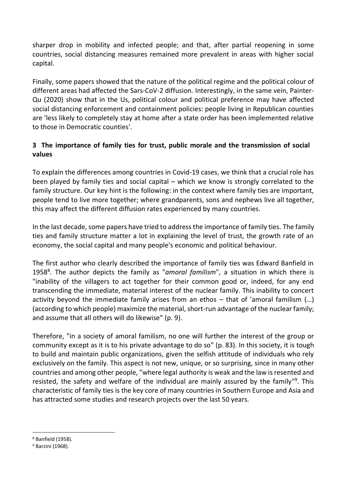sharper drop in mobility and infected people; and that, after partial reopening in some countries, social distancing measures remained more prevalent in areas with higher social capital.

Finally, some papers showed that the nature of the political regime and the political colour of different areas had affected the Sars-CoV-2 diffusion. Interestingly, in the same vein, Painter-Qu (2020) show that in the Us, political colour and political preference may have affected social distancing enforcement and containment policies: people living in Republican counties are 'less likely to completely stay at home after a state order has been implemented relative to those in Democratic counties'.

# **3 The importance of family ties for trust, public morale and the transmission of social values**

To explain the differences among countries in Covid-19 cases, we think that a crucial role has been played by family ties and social capital – which we know is strongly correlated to the family structure. Our key hint is the following: in the context where family ties are important, people tend to live more together; where grandparents, sons and nephews live all together, this may affect the different diffusion rates experienced by many countries.

In the last decade, some papers have tried to address the importance of family ties. The family ties and family structure matter a lot in explaining the level of trust, the growth rate of an economy, the social capital and many people's economic and political behaviour.

The first author who clearly described the importance of family ties was Edward Banfield in 1958<sup>8</sup>. The author depicts the family as "amoral familism", a situation in which there is "inability of the villagers to act together for their common good or, indeed, for any end transcending the immediate, material interest of the nuclear family. This inability to concert activity beyond the immediate family arises from an ethos – that of 'amoral familism (…) (according to which people) maximize the material, short-run advantage of the nuclear family; and assume that all others will do likewise" (p. 9).

Therefore, "in a society of amoral familism, no one will further the interest of the group or community except as it is to his private advantage to do so" (p. 83). In this society, it is tough to build and maintain public organizations, given the selfish attitude of individuals who rely exclusively on the family. This aspect is not new, unique, or so surprising, since in many other countries and among other people, "where legal authority is weak and the law is resented and resisted, the safety and welfare of the individual are mainly assured by the family"<sup>9</sup>. This characteristic of family ties is the key core of many countries in Southern Europe and Asia and has attracted some studies and research projects over the last 50 years.

<sup>8</sup> Banfield (1958).

<sup>&</sup>lt;sup>9</sup> Barzini (1968).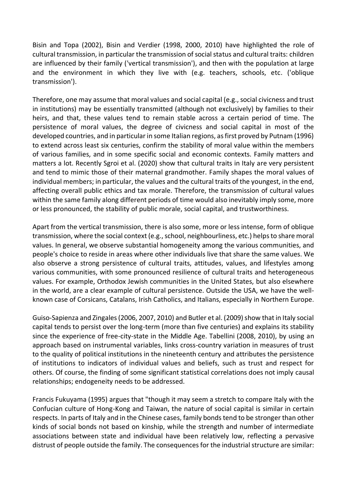Bisin and Topa (2002), Bisin and Verdier (1998, 2000, 2010) have highlighted the role of cultural transmission, in particular the transmission of social status and cultural traits: children are influenced by their family ('vertical transmission'), and then with the population at large and the environment in which they live with (e.g. teachers, schools, etc. ('oblique transmission').

Therefore, one may assume that moral values and social capital (e.g., social civicness and trust in institutions) may be essentially transmitted (although not exclusively) by families to their heirs, and that, these values tend to remain stable across a certain period of time. The persistence of moral values, the degree of civicness and social capital in most of the developed countries, and in particular in some Italian regions, as first proved by Putnam (1996) to extend across least six centuries, confirm the stability of moral value within the members of various families, and in some specific social and economic contexts. Family matters and matters a lot. Recently Sgroi et al. (2020) show that cultural traits in Italy are very persistent and tend to mimic those of their maternal grandmother. Family shapes the moral values of individual members; in particular, the values and the cultural traits of the youngest, in the end, affecting overall public ethics and tax morale. Therefore, the transmission of cultural values within the same family along different periods of time would also inevitably imply some, more or less pronounced, the stability of public morale, social capital, and trustworthiness.

Apart from the vertical transmission, there is also some, more or less intense, form of oblique transmission, where the social context (e.g., school, neighbourliness, etc.) helps to share moral values. In general, we observe substantial homogeneity among the various communities, and people's choice to reside in areas where other individuals live that share the same values. We also observe a strong persistence of cultural traits, attitudes, values, and lifestyles among various communities, with some pronounced resilience of cultural traits and heterogeneous values. For example, Orthodox Jewish communities in the United States, but also elsewhere in the world, are a clear example of cultural persistence. Outside the USA, we have the wellknown case of Corsicans, Catalans, Irish Catholics, and Italians, especially in Northern Europe.

Guiso-Sapienza and Zingales (2006, 2007, 2010) and Butler et al. (2009) show that in Italy social capital tends to persist over the long-term (more than five centuries) and explains its stability since the experience of free-city-state in the Middle Age. Tabellini (2008, 2010), by using an approach based on instrumental variables, links cross-country variation in measures of trust to the quality of political institutions in the nineteenth century and attributes the persistence of institutions to indicators of individual values and beliefs, such as trust and respect for others. Of course, the finding of some significant statistical correlations does not imply causal relationships; endogeneity needs to be addressed.

Francis Fukuyama (1995) argues that "though it may seem a stretch to compare Italy with the Confucian culture of Hong-Kong and Taiwan, the nature of social capital is similar in certain respects. In parts of Italy and in the Chinese cases, family bonds tend to be stronger than other kinds of social bonds not based on kinship, while the strength and number of intermediate associations between state and individual have been relatively low, reflecting a pervasive distrust of people outside the family. The consequences for the industrial structure are similar: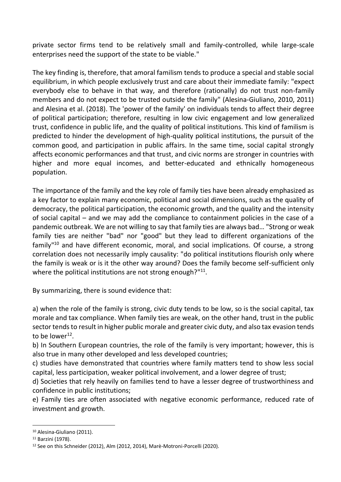private sector firms tend to be relatively small and family-controlled, while large-scale enterprises need the support of the state to be viable."

The key finding is, therefore, that amoral familism tends to produce a special and stable social equilibrium, in which people exclusively trust and care about their immediate family: "expect everybody else to behave in that way, and therefore (rationally) do not trust non-family members and do not expect to be trusted outside the family" (Alesina-Giuliano, 2010, 2011) and Alesina et al. (2018). The 'power of the family' on individuals tends to affect their degree of political participation; therefore, resulting in low civic engagement and low generalized trust, confidence in public life, and the quality of political institutions. This kind of familism is predicted to hinder the development of high-quality political institutions, the pursuit of the common good, and participation in public affairs. In the same time, social capital strongly affects economic performances and that trust, and civic norms are stronger in countries with higher and more equal incomes, and better-educated and ethnically homogeneous population.

The importance of the family and the key role of family ties have been already emphasized as a key factor to explain many economic, political and social dimensions, such as the quality of democracy, the political participation, the economic growth, and the quality and the intensity of social capital – and we may add the compliance to containment policies in the case of a pandemic outbreak. We are not willing to say that family ties are always bad… "Strong or weak family ties are neither "bad" nor "good" but they lead to different organizations of the family<sup>"10</sup> and have different economic, moral, and social implications. Of course, a strong correlation does not necessarily imply causality: "do political institutions flourish only where the family is weak or is it the other way around? Does the family become self-sufficient only where the political institutions are not strong enough?"<sup>11</sup>.

By summarizing, there is sound evidence that:

a) when the role of the family is strong, civic duty tends to be low, so is the social capital, tax morale and tax compliance. When family ties are weak, on the other hand, trust in the public sector tends to result in higher public morale and greater civic duty, and also tax evasion tends to be lower $^{12}$ .

b) In Southern European countries, the role of the family is very important; however, this is also true in many other developed and less developed countries;

c) studies have demonstrated that countries where family matters tend to show less social capital, less participation, weaker political involvement, and a lower degree of trust;

d) Societies that rely heavily on families tend to have a lesser degree of trustworthiness and confidence in public institutions;

e) Family ties are often associated with negative economic performance, reduced rate of investment and growth.

<sup>10</sup> Alesina-Giuliano (2011).

<sup>11</sup> Barzini (1978).

<sup>12</sup> See on this Schneider (2012), Alm (2012, 2014), Marè-Motroni-Porcelli (2020).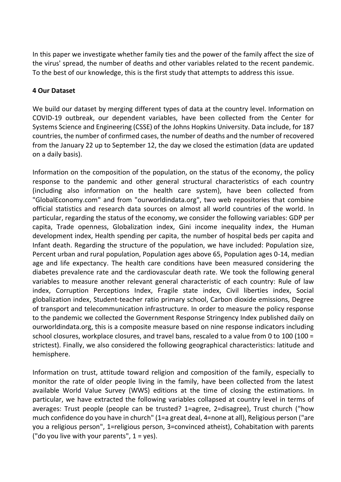In this paper we investigate whether family ties and the power of the family affect the size of the virus' spread, the number of deaths and other variables related to the recent pandemic. To the best of our knowledge, this is the first study that attempts to address this issue.

# **4 Our Dataset**

We build our dataset by merging different types of data at the country level. Information on COVID-19 outbreak, our dependent variables, have been collected from the Center for Systems Science and Engineering (CSSE) of the Johns Hopkins University. Data include, for 187 countries, the number of confirmed cases, the number of deaths and the number of recovered from the January 22 up to September 12, the day we closed the estimation (data are updated on a daily basis).

Information on the composition of the population, on the status of the economy, the policy response to the pandemic and other general structural characteristics of each country (including also information on the health care system), have been collected from "GlobalEconomy.com" and from "ourworldindata.org", two web repositories that combine official statistics and research data sources on almost all world countries of the world. In particular, regarding the status of the economy, we consider the following variables: GDP per capita, Trade openness, Globalization index, Gini income inequality index, the Human development index, Health spending per capita, the number of hospital beds per capita and Infant death. Regarding the structure of the population, we have included: Population size, Percent urban and rural population, Population ages above 65, Population ages 0-14, median age and life expectancy. The health care conditions have been measured considering the diabetes prevalence rate and the cardiovascular death rate. We took the following general variables to measure another relevant general characteristic of each country: Rule of law index, Corruption Perceptions Index, Fragile state index, Civil liberties index, Social globalization index, Student-teacher ratio primary school, Carbon dioxide emissions, Degree of transport and telecommunication infrastructure. In order to measure the policy response to the pandemic we collected the Government Response Stringency Index published daily on ourworldindata.org, this is a composite measure based on nine response indicators including school closures, workplace closures, and travel bans, rescaled to a value from 0 to 100 (100 = strictest). Finally, we also considered the following geographical characteristics: latitude and hemisphere.

Information on trust, attitude toward religion and composition of the family, especially to monitor the rate of older people living in the family, have been collected from the latest available World Value Survey (WWS) editions at the time of closing the estimations. In particular, we have extracted the following variables collapsed at country level in terms of averages: Trust people (people can be trusted? 1=agree, 2=disagree), Trust church ("how much confidence do you have in church" (1=a great deal, 4=none at all), Religious person ("are you a religious person", 1=religious person, 3=convinced atheist), Cohabitation with parents ("do you live with your parents",  $1 = yes$ ).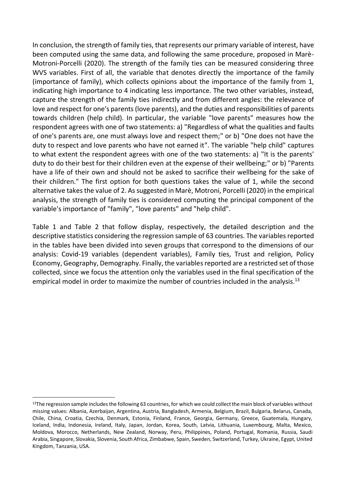In conclusion, the strength of family ties, that represents our primary variable of interest, have been computed using the same data, and following the same procedure, proposed in Marè-Motroni-Porcelli (2020). The strength of the family ties can be measured considering three WVS variables. First of all, the variable that denotes directly the importance of the family (importance of family), which collects opinions about the importance of the family from 1, indicating high importance to 4 indicating less importance. The two other variables, instead, capture the strength of the family ties indirectly and from different angles: the relevance of love and respect for one's parents (love parents), and the duties and responsibilities of parents towards children (help child). In particular, the variable "love parents" measures how the respondent agrees with one of two statements: a) "Regardless of what the qualities and faults of one's parents are, one must always love and respect them;" or b) "One does not have the duty to respect and love parents who have not earned it". The variable "help child" captures to what extent the respondent agrees with one of the two statements: a) "It is the parents' duty to do their best for their children even at the expense of their wellbeing;" or b) "Parents have a life of their own and should not be asked to sacrifice their wellbeing for the sake of their children." The first option for both questions takes the value of 1, while the second alternative takes the value of 2. As suggested in Marè, Motroni, Porcelli (2020) in the empirical analysis, the strength of family ties is considered computing the principal component of the variable's importance of "family", "love parents" and "help child".

Table 1 and Table 2 that follow display, respectively, the detailed description and the descriptive statistics considering the regression sample of 63 countries. The variables reported in the tables have been divided into seven groups that correspond to the dimensions of our analysis: Covid-19 variables (dependent variables), Family ties, Trust and religion, Policy Economy, Geography, Demography. Finally, the variables reported are a restricted set of those collected, since we focus the attention only the variables used in the final specification of the empirical model in order to maximize the number of countries included in the analysis.<sup>13</sup>

 $13$ The regression sample includes the following 63 countries, for which we could collect the main block of variables without missing values: Albania, Azerbaijan, Argentina, Austria, Bangladesh, Armenia, Belgium, Brazil, Bulgaria, Belarus, Canada, Chile, China, Croatia, Czechia, Denmark, Estonia, Finland, France, Georgia, Germany, Greece, Guatemala, Hungary, Iceland, India, Indonesia, Ireland, Italy, Japan, Jordan, Korea, South, Latvia, Lithuania, Luxembourg, Malta, Mexico, Moldova, Morocco, Netherlands, New Zealand, Norway, Peru, Philippines, Poland, Portugal, Romania, Russia, Saudi Arabia, Singapore, Slovakia, Slovenia, South Africa, Zimbabwe, Spain, Sweden, Switzerland, Turkey, Ukraine, Egypt, United Kingdom, Tanzania, USA.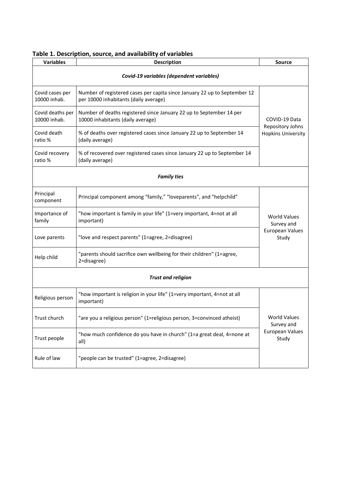| Table 1. Description, source, and availability of variables |  |  |
|-------------------------------------------------------------|--|--|
|-------------------------------------------------------------|--|--|

| <b>Variables</b>                 | <b>Source</b>                                                                                                      |                                               |  |  |  |  |  |
|----------------------------------|--------------------------------------------------------------------------------------------------------------------|-----------------------------------------------|--|--|--|--|--|
|                                  | Covid-19 variables (dependent variables)                                                                           |                                               |  |  |  |  |  |
| Covid cases per<br>10000 inhab.  | Number of registered cases per capita since January 22 up to September 12<br>per 10000 inhabitants (daily average) |                                               |  |  |  |  |  |
| Covid deaths per<br>10000 inhab. | Number of deaths registered since January 22 up to September 14 per<br>10000 inhabitants (daily average)           | COVID-19 Data                                 |  |  |  |  |  |
| Covid death<br>ratio %           | % of deaths over registered cases since January 22 up to September 14<br>(daily average)                           | Repository Johns<br><b>Hopkins University</b> |  |  |  |  |  |
| Covid recovery<br>ratio %        | % of recovered over registered cases since January 22 up to September 14<br>(daily average)                        |                                               |  |  |  |  |  |
| <b>Family ties</b>               |                                                                                                                    |                                               |  |  |  |  |  |
| Principal<br>component           | Principal component among "family," "loveparents", and "helpchild"                                                 |                                               |  |  |  |  |  |
| Importance of<br>family          | "how important is family in your life" (1=very important, 4=not at all<br>important)                               | <b>World Values</b><br>Survey and             |  |  |  |  |  |
| Love parents                     | "love and respect parents" (1=agree, 2=disagree)                                                                   | <b>European Values</b><br>Study               |  |  |  |  |  |
| Help child                       | "parents should sacrifice own wellbeing for their children" (1=agree,<br>2=disagree)                               |                                               |  |  |  |  |  |
| <b>Trust and religion</b>        |                                                                                                                    |                                               |  |  |  |  |  |
| Religious person                 | "how important is religion in your life" (1=very important, 4=not at all<br>important)                             |                                               |  |  |  |  |  |
| Trust church                     | "are you a religious person" (1=religious person, 3=convinced atheist)                                             | <b>World Values</b><br>Survey and             |  |  |  |  |  |
| Trust people                     | "how much confidence do you have in church" (1=a great deal, 4=none at<br>all)                                     | <b>European Values</b><br>Study               |  |  |  |  |  |
| Rule of law                      | "people can be trusted" (1=agree, 2=disagree)                                                                      |                                               |  |  |  |  |  |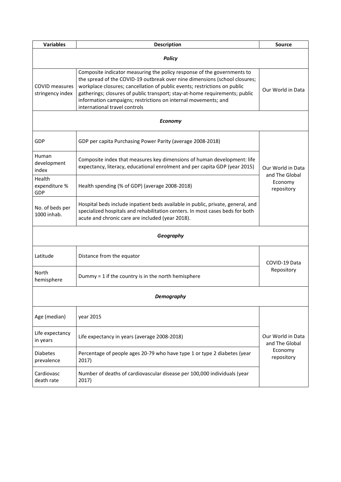| <b>Variables</b>                          | <b>Description</b>                                                                                                                                                                                                                                                                                                                                                                                                   | <b>Source</b>                       |  |  |  |  |  |  |
|-------------------------------------------|----------------------------------------------------------------------------------------------------------------------------------------------------------------------------------------------------------------------------------------------------------------------------------------------------------------------------------------------------------------------------------------------------------------------|-------------------------------------|--|--|--|--|--|--|
| <b>Policy</b>                             |                                                                                                                                                                                                                                                                                                                                                                                                                      |                                     |  |  |  |  |  |  |
| <b>COVID</b> measures<br>stringency index | Composite indicator measuring the policy response of the governments to<br>the spread of the COVID-19 outbreak over nine dimensions (school closures;<br>workplace closures; cancellation of public events; restrictions on public<br>gatherings; closures of public transport; stay-at-home requirements; public<br>information campaigns; restrictions on internal movements; and<br>international travel controls |                                     |  |  |  |  |  |  |
|                                           | <b>Economy</b>                                                                                                                                                                                                                                                                                                                                                                                                       |                                     |  |  |  |  |  |  |
| GDP                                       | GDP per capita Purchasing Power Parity (average 2008-2018)                                                                                                                                                                                                                                                                                                                                                           |                                     |  |  |  |  |  |  |
| Human<br>development<br>index             | Composite index that measures key dimensions of human development: life<br>expectancy, literacy, educational enrolment and per capita GDP (year 2015)                                                                                                                                                                                                                                                                | Our World in Data<br>and The Global |  |  |  |  |  |  |
| Health<br>expenditure %<br>GDP            | Health spending (% of GDP) (average 2008-2018)                                                                                                                                                                                                                                                                                                                                                                       | Economy<br>repository               |  |  |  |  |  |  |
| No. of beds per<br>1000 inhab.            |                                                                                                                                                                                                                                                                                                                                                                                                                      |                                     |  |  |  |  |  |  |
|                                           | Geography                                                                                                                                                                                                                                                                                                                                                                                                            |                                     |  |  |  |  |  |  |
| Latitude                                  | Distance from the equator                                                                                                                                                                                                                                                                                                                                                                                            | COVID-19 Data                       |  |  |  |  |  |  |
| North<br>hemisphere                       | Dummy = $1$ if the country is in the north hemisphere                                                                                                                                                                                                                                                                                                                                                                | Repository                          |  |  |  |  |  |  |
| Demograpny                                |                                                                                                                                                                                                                                                                                                                                                                                                                      |                                     |  |  |  |  |  |  |
| Age (median)                              | year 2015                                                                                                                                                                                                                                                                                                                                                                                                            |                                     |  |  |  |  |  |  |
| Life expectancy<br>in years               | Life expectancy in years (average 2008-2018)                                                                                                                                                                                                                                                                                                                                                                         | Our World in Data<br>and The Global |  |  |  |  |  |  |
| <b>Diabetes</b><br>prevalence             | Percentage of people ages 20-79 who have type 1 or type 2 diabetes (year<br>2017)                                                                                                                                                                                                                                                                                                                                    | Economy<br>repository               |  |  |  |  |  |  |
| Cardiovasc<br>death rate                  | Number of deaths of cardiovascular disease per 100,000 individuals (year<br>2017)                                                                                                                                                                                                                                                                                                                                    |                                     |  |  |  |  |  |  |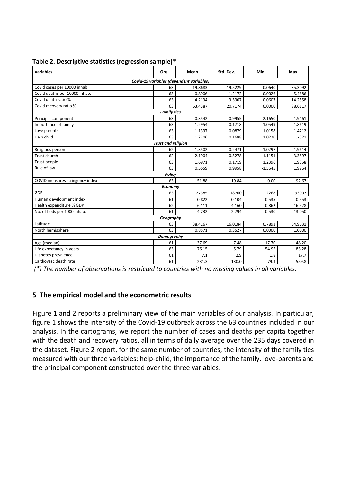| Table 2. Descriptive statistics (regression sample)* |  |  |
|------------------------------------------------------|--|--|
|                                                      |  |  |

| <b>Variables</b>                         | Obs.                      | Mean    | Std. Dev. | Min       | Max     |  |  |  |  |  |  |
|------------------------------------------|---------------------------|---------|-----------|-----------|---------|--|--|--|--|--|--|
| Covid-19 variables (dependent variables) |                           |         |           |           |         |  |  |  |  |  |  |
| Covid cases per 10000 inhab.             | 63                        | 19.8683 | 19.5229   | 0.0640    | 85.3092 |  |  |  |  |  |  |
| Covid deaths per 10000 inhab.            | 63                        | 0.8906  | 1.2172    | 0.0026    | 5.4686  |  |  |  |  |  |  |
| Covid death ratio %                      | 63                        | 4.2134  | 3.5307    | 0.0607    | 14.2558 |  |  |  |  |  |  |
| Covid recovery ratio %                   | 63                        | 63.4387 | 20.7174   | 0.0000    | 88.6117 |  |  |  |  |  |  |
|                                          | <b>Family ties</b>        |         |           |           |         |  |  |  |  |  |  |
| Principal component                      | 63                        | 0.3542  | 0.9955    | $-2.1650$ | 1.9461  |  |  |  |  |  |  |
| Importance of family                     | 63                        | 1.2954  | 0.1718    | 1.0549    | 1.8619  |  |  |  |  |  |  |
| Love parents                             | 63                        | 1.1337  | 0.0879    | 1.0158    | 1.4212  |  |  |  |  |  |  |
| Help child                               | 63                        | 1.2206  | 0.1688    | 1.0270    | 1.7321  |  |  |  |  |  |  |
|                                          | <b>Trust and religion</b> |         |           |           |         |  |  |  |  |  |  |
| Religious person                         | 62                        | 1.3502  | 0.2471    | 1.0297    | 1.9614  |  |  |  |  |  |  |
| <b>Trust church</b>                      | 62                        | 2.1904  | 0.5278    | 1.1151    | 3.3897  |  |  |  |  |  |  |
| Trust people                             | 63                        | 1.6971  | 0.1719    | 1.2396    | 1.9358  |  |  |  |  |  |  |
| Rule of law                              | 63                        | 0.5659  | 0.9958    | $-1.5645$ | 1.9964  |  |  |  |  |  |  |
|                                          | Policy                    |         |           |           |         |  |  |  |  |  |  |
| COVID measures stringency index          | 63                        | 51.88   | 19.84     | 0.00      | 92.67   |  |  |  |  |  |  |
|                                          | Economy                   |         |           |           |         |  |  |  |  |  |  |
| GDP                                      | 63                        | 27385   | 18760     | 2268      | 93007   |  |  |  |  |  |  |
| Human development index                  | 61                        | 0.822   | 0.104     | 0.535     | 0.953   |  |  |  |  |  |  |
| Health expenditure % GDP                 | 62                        | 6.111   | 4.160     | 0.862     | 16.928  |  |  |  |  |  |  |
| No. of beds per 1000 inhab.              | 61                        | 4.232   | 2.794     | 0.530     | 13.050  |  |  |  |  |  |  |
|                                          | Geography                 |         |           |           |         |  |  |  |  |  |  |
| Latitude                                 | 63                        | 38.4167 | 16.0184   | 0.7893    | 64.9631 |  |  |  |  |  |  |
| North hemisphere                         | 63                        | 0.8571  | 0.3527    | 0.0000    | 1.0000  |  |  |  |  |  |  |
| Demography                               |                           |         |           |           |         |  |  |  |  |  |  |
| Age (median)                             | 61                        | 37.69   | 7.48      | 17.70     | 48.20   |  |  |  |  |  |  |
| Life expectancy in years                 | 63                        | 76.15   | 5.79      | 54.95     | 83.28   |  |  |  |  |  |  |
| Diabetes prevalence                      | 61                        | 7.1     | 2.9       | 1.8       | 17.7    |  |  |  |  |  |  |
| Cardiovasc death rate                    | 61                        | 231.3   | 130.0     | 79.4      | 559.8   |  |  |  |  |  |  |

 *(\*) The number of observations is restricted to countries with no missing values in all variables.* 

# **5 The empirical model and the econometric results**

Figure 1 and 2 reports a preliminary view of the main variables of our analysis. In particular, figure 1 shows the intensity of the Covid-19 outbreak across the 63 countries included in our analysis. In the cartograms, we report the number of cases and deaths per capita together with the death and recovery ratios, all in terms of daily average over the 235 days covered in the dataset. Figure 2 report, for the same number of countries, the intensity of the family ties measured with our three variables: help-child, the importance of the family, love-parents and the principal component constructed over the three variables.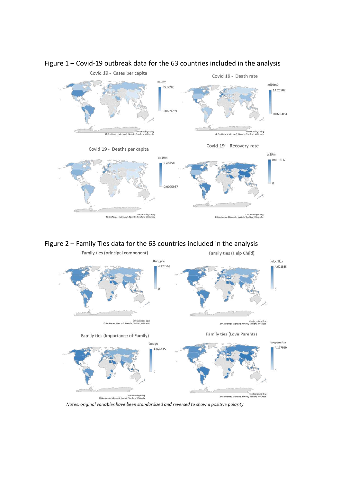

# Figure 1 – Covid-19 outbreak data for the 63 countries included in the analysis





Notes: original variables have been standardized and reversed to show a positive polarity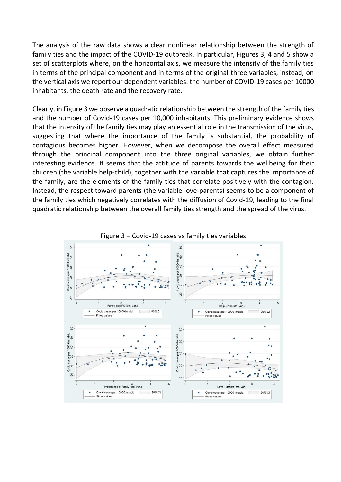The analysis of the raw data shows a clear nonlinear relationship between the strength of family ties and the impact of the COVID-19 outbreak. In particular, Figures 3, 4 and 5 show a set of scatterplots where, on the horizontal axis, we measure the intensity of the family ties in terms of the principal component and in terms of the original three variables, instead, on the vertical axis we report our dependent variables: the number of COVID-19 cases per 10000 inhabitants, the death rate and the recovery rate.

Clearly, in Figure 3 we observe a quadratic relationship between the strength of the family ties and the number of Covid-19 cases per 10,000 inhabitants. This preliminary evidence shows that the intensity of the family ties may play an essential role in the transmission of the virus, suggesting that where the importance of the family is substantial, the probability of contagious becomes higher. However, when we decompose the overall effect measured through the principal component into the three original variables, we obtain further interesting evidence. It seems that the attitude of parents towards the wellbeing for their children (the variable help-child), together with the variable that captures the importance of the family, are the elements of the family ties that correlate positively with the contagion. Instead, the respect toward parents (the variable love-parents) seems to be a component of the family ties which negatively correlates with the diffusion of Covid-19, leading to the final quadratic relationship between the overall family ties strength and the spread of the virus.

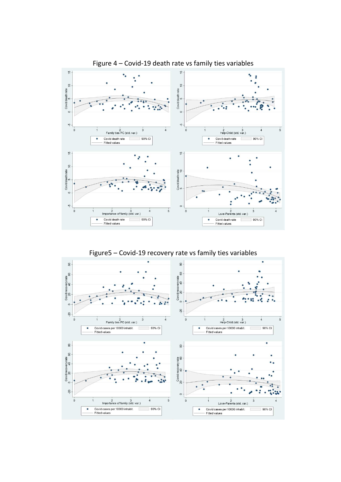



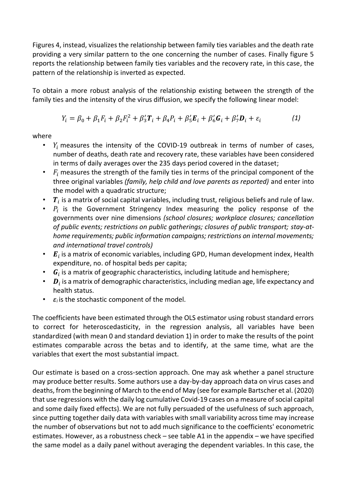Figures 4, instead, visualizes the relationship between family ties variables and the death rate providing a very similar pattern to the one concerning the number of cases. Finally figure 5 reports the relationship between family ties variables and the recovery rate, in this case, the pattern of the relationship is inverted as expected.

To obtain a more robust analysis of the relationship existing between the strength of the family ties and the intensity of the virus diffusion, we specify the following linear model:

$$
Y_i = \beta_0 + \beta_1 F_i + \beta_2 F_i^2 + \beta_3' \mathbf{T}_i + \beta_4 P_i + \beta_5' \mathbf{E}_i + \beta_6' \mathbf{G}_i + \beta_7' \mathbf{D}_i + \varepsilon_i \tag{1}
$$

where

- $Y_i$  measures the intensity of the COVID-19 outbreak in terms of number of cases, number of deaths, death rate and recovery rate, these variables have been considered in terms of daily averages over the 235 days period covered in the dataset;
- $\bullet$   $F_i$  measures the strength of the family ties in terms of the principal component of the three original variables *(family, help child and love parents as reported)* and enter into the model with a quadratic structure;
- $T_i$  is a matrix of social capital variables, including trust, religious beliefs and rule of law.
- $P_i$  is the Government Stringency Index measuring the policy response of the governments over nine dimensions *(school closures; workplace closures; cancellation of public events; restrictions on public gatherings; closures of public transport; stay-athome requirements; public information campaigns; restrictions on internal movements; and international travel controls)*
- $E_i$  is a matrix of economic variables, including GPD, Human development index, Health expenditure, no. of hospital beds per capita;
- $\bm{G}_i$  is a matrix of geographic characteristics, including latitude and hemisphere;
- $\bm{D}_i$  is a matrix of demographic characteristics, including median age, life expectancy and health status.
- $\cdot$   $\varepsilon_i$  is the stochastic component of the model.

The coefficients have been estimated through the OLS estimator using robust standard errors to correct for heteroscedasticity, in the regression analysis, all variables have been standardized (with mean 0 and standard deviation 1) in order to make the results of the point estimates comparable across the betas and to identify, at the same time, what are the variables that exert the most substantial impact.

Our estimate is based on a cross-section approach. One may ask whether a panel structure may produce better results. Some authors use a day-by-day approach data on virus cases and deaths, from the beginning of March to the end of May (see for example Bartscher et al. (2020) that use regressions with the daily log cumulative Covid-19 cases on a measure of social capital and some daily fixed effects). We are not fully persuaded of the usefulness of such approach, since putting together daily data with variables with small variability across time may increase the number of observations but not to add much significance to the coefficients' econometric estimates. However, as a robustness check – see table A1 in the appendix – we have specified the same model as a daily panel without averaging the dependent variables. In this case, the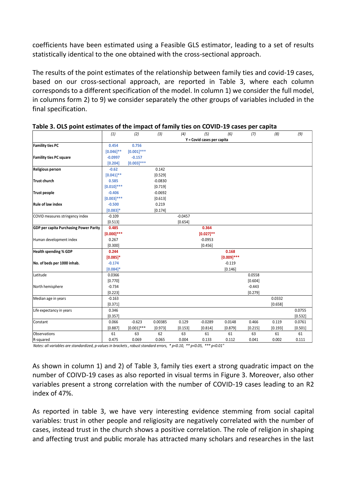coefficients have been estimated using a Feasible GLS estimator, leading to a set of results statistically identical to the one obtained with the cross-sectional approach.

The results of the point estimates of the relationship between family ties and covid-19 cases, based on our cross-sectional approach, are reported in Table 3, where each column corresponds to a different specification of the model. In column 1) we consider the full model, in columns form 2) to 9) we consider separately the other groups of variables included in the final specification.

|                                               | (1)             | (2)           | (3)       | (4)       | (5)                        | (6)           | (7)      | (8)     | (9)     |
|-----------------------------------------------|-----------------|---------------|-----------|-----------|----------------------------|---------------|----------|---------|---------|
|                                               |                 |               |           |           | Y = Covid cases per capita |               |          |         |         |
| <b>Famility ties PC</b>                       | 0.454           | 0.756         |           |           |                            |               |          |         |         |
|                                               | $[0.046]$ **    | $[0.001]$ *** |           |           |                            |               |          |         |         |
| <b>Famility ties PC square</b>                | $-0.0997$       | $-0.157$      |           |           |                            |               |          |         |         |
|                                               | [0.204]         | $[0.003]***$  |           |           |                            |               |          |         |         |
| <b>Religious person</b>                       | $-0.62$         |               | 0.142     |           |                            |               |          |         |         |
|                                               | $[0.041]$ **    |               | [0.529]   |           |                            |               |          |         |         |
| <b>Trust church</b>                           | 0.585           |               | $-0.0830$ |           |                            |               |          |         |         |
|                                               | $[0.010]^{***}$ |               | [0.719]   |           |                            |               |          |         |         |
| <b>Trust people</b>                           | $-0.406$        |               | $-0.0692$ |           |                            |               |          |         |         |
|                                               | $[0.003]$ ***   |               | [0.613]   |           |                            |               |          |         |         |
| <b>Rule of law index</b>                      | $-0.500$        |               | 0.219     |           |                            |               |          |         |         |
|                                               | $[0.083]$ *     |               | [0.174]   |           |                            |               |          |         |         |
| COVID measures stringency index               | $-0.109$        |               |           | $-0.0457$ |                            |               |          |         |         |
|                                               | [0.513]         |               |           | [0.654]   |                            |               |          |         |         |
| <b>GDP per capita Purchasing Power Parity</b> | 0.485           |               |           |           | 0.364                      |               |          |         |         |
|                                               | $[0.000]$ ***   |               |           |           | $[0.027]^{**}$             |               |          |         |         |
| Human development index                       | 0.267           |               |           |           | $-0.0953$                  |               |          |         |         |
|                                               | [0.300]         |               |           |           | [0.456]                    |               |          |         |         |
| <b>Health spending % GDP</b>                  | 0.244           |               |           |           |                            | 0.168         |          |         |         |
|                                               | $[0.085]$ *     |               |           |           |                            | $[0.009]$ *** |          |         |         |
| No. of beds per 1000 inhab.                   | $-0.174$        |               |           |           |                            | $-0.119$      |          |         |         |
|                                               | $[0.084]$ *     |               |           |           |                            | [0.146]       |          |         |         |
| Latitude                                      | 0.0366          |               |           |           |                            |               | 0.0558   |         |         |
|                                               | [0.770]         |               |           |           |                            |               | [0.604]  |         |         |
| North hemisphere                              | $-0.734$        |               |           |           |                            |               | $-0.443$ |         |         |
|                                               | [0.223]         |               |           |           |                            |               | [0.279]  |         |         |
| Median age in years                           | $-0.163$        |               |           |           |                            |               |          | 0.0332  |         |
|                                               | [0.371]         |               |           |           |                            |               |          | [0.658] |         |
| Life expectancy in years                      | 0.346           |               |           |           |                            |               |          |         | 0.0755  |
|                                               | [0.357]         |               |           |           |                            |               |          |         | [0.532] |
| Constant                                      | 0.066           | $-0.623$      | 0.00385   | 0.129     | $-0.0289$                  | 0.0148        | 0.466    | 0.119   | 0.0761  |
|                                               | [0.887]         | $[0.001]$ *** | [0.973]   | [0.153]   | [0.814]                    | [0.879]       | [0.215]  | [0.193] | [0.501] |
| <b>Observations</b>                           | 61              | 63            | 62        | 63        | 61                         | 61            | 63       | 61      | 61      |
| R-squared                                     | 0.475           | 0.069         | 0.065     | 0.004     | 0.133                      | 0.112         | 0.041    | 0.002   | 0.111   |

#### **Table 3. OLS point estimates of the impact of family ties on COVID-19 cases per capita**

*Notes: all variables are standardized, p-values in brackets , robust standard errors, \* p<0.10, \*\* p<0.05, \*\*\* p<0.01"*

As shown in column 1) and 2) of Table 3, family ties exert a strong quadratic impact on the number of COIVD-19 cases as also reported in visual terms in Figure 3. Moreover, also other variables present a strong correlation with the number of COVID-19 cases leading to an R2 index of 47%.

As reported in table 3, we have very interesting evidence stemming from social capital variables: trust in other people and religiosity are negatively correlated with the number of cases, instead trust in the church shows a positive correlation. The role of religion in shaping and affecting trust and public morale has attracted many scholars and researches in the last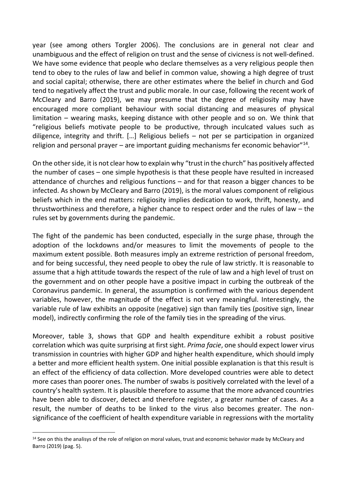year (see among others Torgler 2006). The conclusions are in general not clear and unambiguous and the effect of religion on trust and the sense of civicness is not well-defined. We have some evidence that people who declare themselves as a very religious people then tend to obey to the rules of law and belief in common value, showing a high degree of trust and social capital; otherwise, there are other estimates where the belief in church and God tend to negatively affect the trust and public morale. In our case, following the recent work of McCleary and Barro (2019), we may presume that the degree of religiosity may have encouraged more compliant behaviour with social distancing and measures of physical limitation – wearing masks, keeping distance with other people and so on. We think that "religious beliefs motivate people to be productive, through inculcated values such as diligence, integrity and thrift. […] Religious beliefs – not per se participation in organized religion and personal prayer  $-$  are important guiding mechanisms fer economic behavior"<sup>14</sup>.

On the other side, it is not clear how to explain why "trust in the church" has positively affected the number of cases – one simple hypothesis is that these people have resulted in increased attendance of churches and religious functions – and for that reason a bigger chances to be infected. As shown by McCleary and Barro (2019), is the moral values component of religious beliefs which in the end matters: religiosity implies dedication to work, thrift, honesty, and thrustworthiness and therefore, a higher chance to respect order and the rules of law – the rules set by governments during the pandemic.

The fight of the pandemic has been conducted, especially in the surge phase, through the adoption of the lockdowns and/or measures to limit the movements of people to the maximum extent possible. Both measures imply an extreme restriction of personal freedom, and for being successful, they need people to obey the rule of law strictly. It is reasonable to assume that a high attitude towards the respect of the rule of law and a high level of trust on the government and on other people have a positive impact in curbing the outbreak of the Coronavirus pandemic. In general, the assumption is confirmed with the various dependent variables, however, the magnitude of the effect is not very meaningful. Interestingly, the variable rule of law exhibits an opposite (negative) sign than family ties (positive sign, linear model), indirectly confirming the role of the family ties in the spreading of the virus.

Moreover, table 3, shows that GDP and health expenditure exhibit a robust positive correlation which was quite surprising at first sight. *Prima facie*, one should expect lower virus transmission in countries with higher GDP and higher health expenditure, which should imply a better and more efficient health system. One initial possible explanation is that this result is an effect of the efficiency of data collection. More developed countries were able to detect more cases than poorer ones. The number of swabs is positively correlated with the level of a country's health system. It is plausible therefore to assume that the more advanced countries have been able to discover, detect and therefore register, a greater number of cases. As a result, the number of deaths to be linked to the virus also becomes greater. The nonsignificance of the coefficient of health expenditure variable in regressions with the mortality

<sup>&</sup>lt;sup>14</sup> See on this the analisys of the role of religion on moral values, trust and economic behavior made by McCleary and Barro (2019) (pag. 5).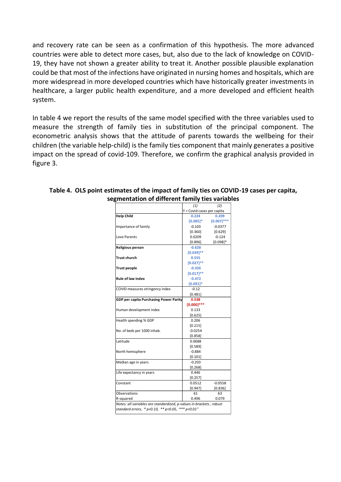and recovery rate can be seen as a confirmation of this hypothesis. The more advanced countries were able to detect more cases, but, also due to the lack of knowledge on COVID-19, they have not shown a greater ability to treat it. Another possible plausible explanation could be that most of the infections have originated in nursing homes and hospitals, which are more widespread in more developed countries which have historically greater investments in healthcare, a larger public health expenditure, and a more developed and efficient health system.

In table 4 we report the results of the same model specified with the three variables used to measure the strength of family ties in substitution of the principal component. The econometric analysis shows that the attitude of parents towards the wellbeing for their children (the variable help-child) is the family ties component that mainly generates a positive impact on the spread of covid-109. Therefore, we confirm the graphical analysis provided in figure 3.

|                                                                     | (1)<br>(2)                 |               |  |  |
|---------------------------------------------------------------------|----------------------------|---------------|--|--|
|                                                                     | Y = Covid cases per capita |               |  |  |
| <b>Help Child</b>                                                   | 0.224                      | 0.209         |  |  |
|                                                                     | $[0.085]^{*}$              | $[0.007]$ *** |  |  |
| Importance of family                                                | $-0.103$                   | $-0.0377$     |  |  |
|                                                                     | [0.360]                    | [0.629]       |  |  |
| Love Parents                                                        | 0.0209                     | $-0.124$      |  |  |
|                                                                     | [0.896]                    | $[0.098]$ *   |  |  |
| <b>Religious person</b>                                             | $-0.628$                   |               |  |  |
|                                                                     | $[0.039]$ **               |               |  |  |
| <b>Trust church</b>                                                 | 0.555                      |               |  |  |
|                                                                     | $[0.027]$ **               |               |  |  |
| <b>Trust people</b>                                                 | $-0.326$                   |               |  |  |
|                                                                     | $[0.017]^{**}$             |               |  |  |
| <b>Rule of law index</b>                                            | $-0.472$                   |               |  |  |
|                                                                     | $[0.091]$ *                |               |  |  |
| COVID measures stringency index                                     | $-0.12$                    |               |  |  |
|                                                                     | [0.481]                    |               |  |  |
| <b>GDP per capita Purchasing Power Parity</b>                       | 0.538                      |               |  |  |
|                                                                     | $[0.000]$ ***              |               |  |  |
| Human development index                                             | 0.133                      |               |  |  |
|                                                                     | [0.625]                    |               |  |  |
| Health spending % GDP                                               | 0.206                      |               |  |  |
|                                                                     | [0.215]                    |               |  |  |
| No. of beds per 1000 inhab.                                         | $-0.0254$                  |               |  |  |
|                                                                     | [0.858]                    |               |  |  |
| Latitude                                                            | 0.0688                     |               |  |  |
|                                                                     | [0.589]                    |               |  |  |
| North hemisphere                                                    | $-0.884$                   |               |  |  |
|                                                                     | [0.101]                    |               |  |  |
| Median age in years                                                 | $-0.203$                   |               |  |  |
|                                                                     | [0.268]                    |               |  |  |
| Life expectancy in years                                            | 0.446                      |               |  |  |
|                                                                     | [0.257]                    |               |  |  |
| Constant                                                            | 0.0512                     | $-0.0558$     |  |  |
|                                                                     | [0.947]                    | [0.836]       |  |  |
| Observations                                                        | 61                         | 63            |  |  |
| R-squared                                                           | 0.496                      | 0.079         |  |  |
| Notes: all variables are standardized, p-values in brackets, robust |                            |               |  |  |
| standard errors, * p<0.10, ** p<0.05, *** p<0.01"                   |                            |               |  |  |
|                                                                     |                            |               |  |  |

#### **Table 4. OLS point estimates of the impact of family ties on COVID-19 cases per capita,**  segmentation of different family ties variables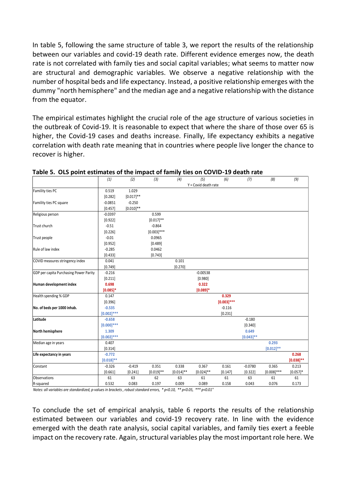In table 5, following the same structure of table 3, we report the results of the relationship between our variables and covid-19 death rate. Different evidence emerges now, the death rate is not correlated with family ties and social capital variables; what seems to matter now are structural and demographic variables. We observe a negative relationship with the number of hospital beds and life expectancy. Instead, a positive relationship emerges with the dummy "north hemisphere" and the median age and a negative relationship with the distance from the equator.

The empirical estimates highlight the crucial role of the age structure of various societies in the outbreak of Covid-19. It is reasonable to expect that where the share of those over 65 is higher, the Covid-19 cases and deaths increase. Finally, life expectancy exhibits a negative correlation with death rate meaning that in countries where people live longer the chance to recover is higher.

|                                        | (1)             | (2)          | (3)           | (4)          | (5)                           | (6)           | (7)          | (8)           | (9)            |
|----------------------------------------|-----------------|--------------|---------------|--------------|-------------------------------|---------------|--------------|---------------|----------------|
|                                        |                 |              |               |              | $Y = \text{Covid death rate}$ |               |              |               |                |
| Famility ties PC                       | 0.519           | 1.029        |               |              |                               |               |              |               |                |
|                                        | [0.282]         | $[0.017]$ ** |               |              |                               |               |              |               |                |
| Famility ties PC square                | $-0.0851$       | $-0.250$     |               |              |                               |               |              |               |                |
|                                        | [0.457]         | $[0.010]$ ** |               |              |                               |               |              |               |                |
| Religious person                       | $-0.0397$       |              | 0.599         |              |                               |               |              |               |                |
|                                        | [0.922]         |              | $[0.017]$ **  |              |                               |               |              |               |                |
| Trust church                           | $-0.51$         |              | $-0.864$      |              |                               |               |              |               |                |
|                                        | [0.226]         |              | $[0.003]$ *** |              |                               |               |              |               |                |
| Trust people                           | $-0.01$         |              | 0.0965        |              |                               |               |              |               |                |
|                                        | [0.952]         |              | [0.489]       |              |                               |               |              |               |                |
| Rule of law index                      | $-0.285$        |              | 0.0462        |              |                               |               |              |               |                |
|                                        | [0.433]         |              | [0.743]       |              |                               |               |              |               |                |
| COVID measures stringency index        | 0.041           |              |               | 0.101        |                               |               |              |               |                |
|                                        | [0.749]         |              |               | [0.270]      |                               |               |              |               |                |
| GDP per capita Purchasing Power Parity | $-0.216$        |              |               |              | $-0.00538$                    |               |              |               |                |
|                                        | [0.211]         |              |               |              | [0.980]                       |               |              |               |                |
| Human development index                | 0.698           |              |               |              | 0.322                         |               |              |               |                |
|                                        | $[0.085]^{*}$   |              |               |              | $[0.089]$ *                   |               |              |               |                |
| Health spending % GDP                  | 0.147           |              |               |              |                               | 0.329         |              |               |                |
|                                        | [0.396]         |              |               |              |                               | $[0.003]$ *** |              |               |                |
| No. of beds per 1000 inhab.            | $-0.535$        |              |               |              |                               | $-0.116$      |              |               |                |
|                                        | $[0.002]$ ***   |              |               |              |                               | [0.231]       |              |               |                |
| Latitude                               | $-0.658$        |              |               |              |                               |               | $-0.180$     |               |                |
|                                        | $[0.000]$ ***   |              |               |              |                               |               | [0.340]      |               |                |
| North hemisphere                       | 1.309           |              |               |              |                               |               | 0.649        |               |                |
|                                        | $[0.002]^{***}$ |              |               |              |                               |               | $[0.043]$ ** |               |                |
| Median age in years                    | 0.407           |              |               |              |                               |               |              | 0.293         |                |
|                                        | [0.314]         |              |               |              |                               |               |              | $[0.012]$ **  |                |
| Life expectancy in years               | $-0.772$        |              |               |              |                               |               |              |               | 0.268          |
|                                        | $[0.018]^{**}$  |              |               |              |                               |               |              |               | $[0.038]^{**}$ |
| Constant                               | $-0.326$        | $-0.419$     | 0.351         | 0.338        | 0.367                         | 0.161         | $-0.0780$    | 0.365         | 0.213          |
|                                        | [0.661]         | [0.241]      | $[0.019]$ **  | $[0.014]$ ** | $[0.024]$ **                  | [0.147]       | [0.322]      | $[0.008]$ *** | $[0.057]$ *    |
| Observations                           | 61              | 63           | 62            | 63           | 61                            | 61            | 63           | 61            | 61             |
| R-squared                              | 0.532           | 0.083        | 0.197         | 0.009        | 0.089                         | 0.158         | 0.043        | 0.076         | 0.173          |

**Table 5. OLS point estimates of the impact of family ties on COVID-19 death rate**

*Notes: all variables are standardized, p-values in brackets , robust standard errors, \* p<0.10, \*\* p<0.05, \*\*\* p<0.01"*

To conclude the set of empirical analysis, table 6 reports the results of the relationship estimated between our variables and covid-19 recovery rate. In line with the evidence emerged with the death rate analysis, social capital variables, and family ties exert a feeble impact on the recovery rate. Again, structural variables play the most important role here. We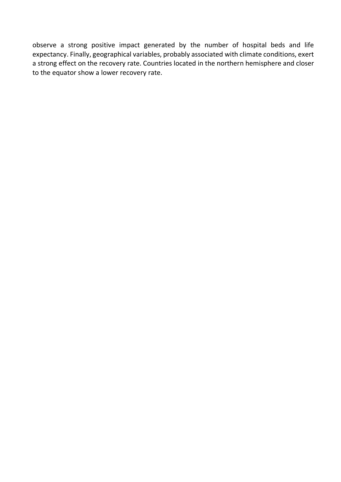observe a strong positive impact generated by the number of hospital beds and life expectancy. Finally, geographical variables, probably associated with climate conditions, exert a strong effect on the recovery rate. Countries located in the northern hemisphere and closer to the equator show a lower recovery rate.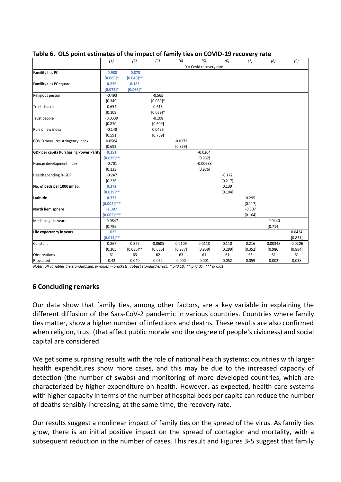|                                               | (1)            | (2)          | (3)        | (4)       | (5)                     | (6)      | (7)      | (8)       | (9)       |
|-----------------------------------------------|----------------|--------------|------------|-----------|-------------------------|----------|----------|-----------|-----------|
|                                               |                |              |            |           | Y = Covid recovery rate |          |          |           |           |
| Famility ties PC                              | $-0.988$       | $-0.873$     |            |           |                         |          |          |           |           |
|                                               | $[0.069]$ *    | $[0.040]$ ** |            |           |                         |          |          |           |           |
| Famility ties PC square                       | 0.229          | 0.182        |            |           |                         |          |          |           |           |
|                                               | $[0.072]$ *    | $[0.066]$ *  |            |           |                         |          |          |           |           |
| Religious person                              | $-0.493$       |              | $-0.565$   |           |                         |          |          |           |           |
|                                               | [0.349]        |              | $[0.089]*$ |           |                         |          |          |           |           |
| Trust church                                  | 0.654          |              | 0.613      |           |                         |          |          |           |           |
|                                               | [0.109]        |              | $[0.059]*$ |           |                         |          |          |           |           |
| Trust people                                  | $-0.0339$      |              | $-0.108$   |           |                         |          |          |           |           |
|                                               | [0.870]        |              | [0.609]    |           |                         |          |          |           |           |
| Rule of law index                             | $-0.148$       |              | 0.0496     |           |                         |          |          |           |           |
|                                               | [0.591]        |              | [0.769]    |           |                         |          |          |           |           |
| COVID measures stringency index               | 0.0584         |              |            | $-0.0172$ |                         |          |          |           |           |
|                                               | [0.692]        |              |            | [0.859]   |                         |          |          |           |           |
| <b>GDP per capita Purchasing Power Parity</b> | 0.351          |              |            |           | $-0.0204$               |          |          |           |           |
|                                               | $[0.029]$ **   |              |            |           | [0.932]                 |          |          |           |           |
| Human development index                       | $-0.701$       |              |            |           | $-0.00688$              |          |          |           |           |
|                                               | [0.133]        |              |            |           | [0.976]                 |          |          |           |           |
| Health spending % GDP                         | $-0.247$       |              |            |           |                         | $-0.172$ |          |           |           |
|                                               | [0.226]        |              |            |           |                         | [0.217]  |          |           |           |
| No. of beds per 1000 inhab.                   | 0.372          |              |            |           |                         | 0.139    |          |           |           |
|                                               | $[0.029]^{**}$ |              |            |           |                         | [0.194]  |          |           |           |
| Latitude                                      | 0.772          |              |            |           |                         |          | 0.295    |           |           |
|                                               | $[0.002]$ ***  |              |            |           |                         |          | [0.117]  |           |           |
| <b>North hemisphere</b>                       | $-1.397$       |              |            |           |                         |          | $-0.507$ |           |           |
|                                               | $[0.005]$ ***  |              |            |           |                         |          | [0.164]  |           |           |
| Median age in years                           | $-0.0847$      |              |            |           |                         |          |          | $-0.0440$ |           |
|                                               | [0.796]        |              |            |           |                         |          |          | [0.714]   |           |
| Life expectancy in years                      | 1.025          |              |            |           |                         |          |          |           | 0.0424    |
|                                               | $[0.014]^{**}$ |              |            |           |                         |          |          |           | [0.831]   |
| Constant                                      | 0.867          | 0.877        | $-0.0605$  | 0.0109    | 0.0118                  | 0.110    | 0.216    | 0.00348   | $-0.0206$ |
|                                               | [0.305]        | $[0.030]$ ** | [0.666]    | [0.937]   | [0.939]                 | [0.299]  | [0.352]  | [0.980]   | [0.884]   |
| Observations                                  | 61             | 63           | 62         | 63        | 61                      | 61       | 63       | 61        | 61        |
| R-squared                                     | 0.42           | 0.040        | 0.052      | 0.000     | 0.001                   | 0.052    | 0.059    | 0.002     | 0.038     |
|                                               |                |              |            |           |                         |          |          |           |           |

#### **Table 6. OLS point estimates of the impact of family ties on COVID-19 recovery rate**

*Notes: all variables are standardized, p-values in brackets , robust standard errors, \* p<0.10, \*\* p<0.05, \*\*\* p<0.01"*

#### **6 Concluding remarks**

Our data show that family ties, among other factors, are a key variable in explaining the different diffusion of the Sars-CoV-2 pandemic in various countries. Countries where family ties matter, show a higher number of infections and deaths. These results are also confirmed when religion, trust (that affect public morale and the degree of people's civicness) and social capital are considered.

We get some surprising results with the role of national health systems: countries with larger health expenditures show more cases, and this may be due to the increased capacity of detection (the number of swabs) and monitoring of more developed countries, which are characterized by higher expenditure on health. However, as expected, health care systems with higher capacity in terms of the number of hospital beds per capita can reduce the number of deaths sensibly increasing, at the same time, the recovery rate.

Our results suggest a nonlinear impact of family ties on the spread of the virus. As family ties grow, there is an initial positive impact on the spread of contagion and mortality, with a subsequent reduction in the number of cases. This result and Figures 3-5 suggest that family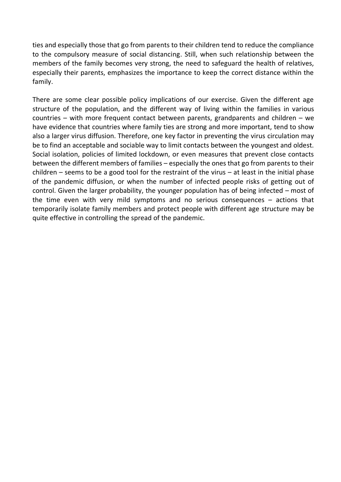ties and especially those that go from parents to their children tend to reduce the compliance to the compulsory measure of social distancing. Still, when such relationship between the members of the family becomes very strong, the need to safeguard the health of relatives, especially their parents, emphasizes the importance to keep the correct distance within the family.

There are some clear possible policy implications of our exercise. Given the different age structure of the population, and the different way of living within the families in various countries – with more frequent contact between parents, grandparents and children – we have evidence that countries where family ties are strong and more important, tend to show also a larger virus diffusion. Therefore, one key factor in preventing the virus circulation may be to find an acceptable and sociable way to limit contacts between the youngest and oldest. Social isolation, policies of limited lockdown, or even measures that prevent close contacts between the different members of families – especially the ones that go from parents to their children – seems to be a good tool for the restraint of the virus – at least in the initial phase of the pandemic diffusion, or when the number of infected people risks of getting out of control. Given the larger probability, the younger population has of being infected – most of the time even with very mild symptoms and no serious consequences – actions that temporarily isolate family members and protect people with different age structure may be quite effective in controlling the spread of the pandemic.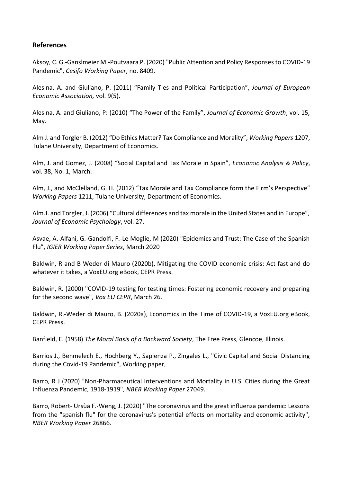#### **References**

Aksoy, C. G.-Ganslmeier M.-Poutvaara P. (2020) "Public Attention and Policy Responses to COVID-19 Pandemic", *Cesifo Working Paper*, no. 8409.

Alesina, A. and Giuliano, P. (2011) "Family Ties and Political Participation", *Journal of European Economic Association,* vol. 9(5).

Alesina, A. and Giuliano, P: (2010) "The Power of the Family", *Journal of Economic Growth*, vol. 15, May.

Alm J. and Torgler B. (2012) "Do Ethics Matter? Tax Compliance and Morality", *Working Papers* 1207, Tulane University, Department of Economics.

Alm, J. and Gomez, J. (2008) "Social Capital and Tax Morale in Spain", *Economic Analysis & Policy*, vol. 38, No. 1, March.

Alm, J., and McClelland, G. H. (2012) "Tax Morale and Tax Compliance form the Firm's Perspective" *Working Papers* 1211, Tulane University, Department of Economics.

Alm.J. and Torgler, J. (2006) "Cultural differences and tax morale in the United States and in Europe", *Journal of Economic Psychology*, vol. 27.

Asvae, A.-Alfani, G.-Gandolfi, F.-Le Moglie, M (2020) "Epidemics and Trust: The Case of the Spanish Flu", *IGIER Working Paper Series*, March 2020

Baldwin, R and B Weder di Mauro (2020b), Mitigating the COVID economic crisis: Act fast and do whatever it takes, a VoxEU.org eBook, CEPR Press.

Baldwin, R. (2000) "COVID-19 testing for testing times: Fostering economic recovery and preparing for the second wave", *Vox EU CEPR*, March 26.

Baldwin, R.-Weder di Mauro, B. (2020a), Economics in the Time of COVID-19, a VoxEU.org eBook, CEPR Press.

Banfield, E. (1958) *The Moral Basis of a Backward Society*, The Free Press, Glencoe, Illinois.

Barrios J., Benmelech E., Hochberg Y., Sapienza P., Zingales L., "Civic Capital and Social Distancing during the Covid-19 Pandemic", Working paper,

Barro, R J (2020) "Non-Pharmaceutical Interventions and Mortality in U.S. Cities during the Great Influenza Pandemic, 1918-1919", *NBER Working Paper* 27049.

Barro, Robert- Ursùa F.-Weng, J. (2020) "The coronavirus and the great influenza pandemic: Lessons from the "spanish flu" for the coronavirus's potential effects on mortality and economic activity", *NBER Working Paper* 26866.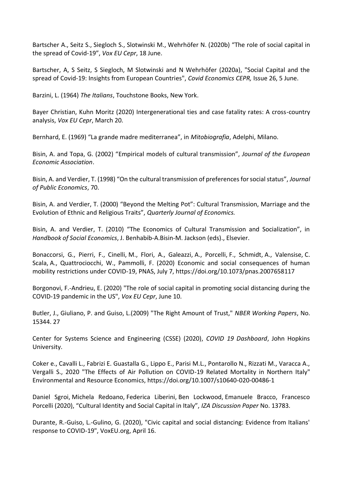Bartscher A., Seitz S., Siegloch S., Slotwinski M., Wehrhöfer N. (2020b) "The role of social capital in the spread of Covid-19", *Vox EU Cepr*, 18 June.

Bartscher, A, S Seitz, S Siegloch, M Slotwinski and N Wehrhöfer (2020a), "Social Capital and the spread of Covid-19: Insights from European Countries", *Covid Economics CEPR,* Issue 26, 5 June.

Barzini, L. (1964) *The Italians*, Touchstone Books, New York.

Bayer Christian, Kuhn Moritz (2020) Intergenerational ties and case fatality rates: A cross-country analysis, *Vox EU Cepr*, March 20.

Bernhard, E. (1969) "La grande madre mediterranea", in *Mitobiografia*, Adelphi, Milano.

Bisin, A. and Topa, G. (2002) "Empirical models of cultural transmission", *Journal of the European Economic Association*.

Bisin, A. and Verdier, T. (1998) "On the cultural transmission of preferences for social status", *Journal of Public Economics*, 70.

Bisin, A. and Verdier, T. (2000) "Beyond the Melting Pot": Cultural Transmission, Marriage and the Evolution of Ethnic and Religious Traits", *Quarterly Journal of Economics.*

Bisin, A. and Verdier, T. (2010) "The Economics of Cultural Transmission and Socialization", in *Handbook of Social Economics*, J. Benhabib-A.Bisin-M. Jackson (eds)., Elsevier.

Bonaccorsi, G., Pierri, F., Cinelli, M., Flori, A., Galeazzi, A., Porcelli, F., Schmidt, A., Valensise, C. Scala, A., Quattrociocchi, W., Pammolli, F. (2020) Economic and social consequences of human mobility restrictions under COVID-19, PNAS, July 7, https://doi.org/10.1073/pnas.2007658117

Borgonovi, F.-Andrieu, E. (2020) "The role of social capital in promoting social distancing during the COVID-19 pandemic in the US", *Vox EU Cepr*, June 10.

Butler, J., Giuliano, P. and Guiso, L.(2009) "The Right Amount of Trust," *NBER Working Papers*, No. 15344. 27

Center for Systems Science and Engineering (CSSE) (2020), *COVID 19 Dashboard*, John Hopkins University.

Coker e., Cavalli L., Fabrizi E. Guastalla G., Lippo E., Parisi M.L., Pontarollo N., Rizzati M., Varacca A., Vergalli S., 2020 "The Effects of Air Pollution on COVID-19 Related Mortality in Northern Italy" Environmental and Resource Economics, https://doi.org/10.1007/s10640-020-00486-1

Daniel Sgroi, Michela Redoano, Federica Liberini, Ben Lockwood, Emanuele Bracco, Francesco Porcelli (2020), "Cultural Identity and Social Capital in Italy", *IZA Discussion Paper* No. 13783.

Durante, R.-Guiso, L.-Gulino, G. (2020), "Civic capital and social distancing: Evidence from Italians' response to COVID-19", VoxEU.org, April 16.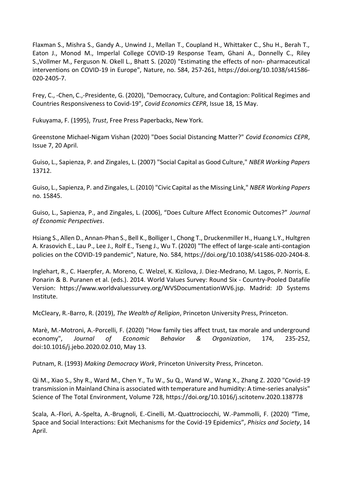Flaxman S., Mishra S., Gandy A., Unwind J., Mellan T., Coupland H., Whittaker C., Shu H., Berah T., Eaton J., Monod M., Imperlal College COVID-19 Response Team, Ghani A., Donnelly C., Riley S.,Vollmer M., Ferguson N. Okell L., Bhatt S. (2020) "Estimating the effects of non- pharmaceutical interventions on COVID-19 in Europe", Nature, no. 584, 257-261, https://doi.org/10.1038/s41586- 020-2405-7.

Frey, C., -Chen, C.,-Presidente, G. (2020), "Democracy, Culture, and Contagion: Political Regimes and Countries Responsiveness to Covid-19", *Covid Economics CEPR*, Issue 18, 15 May.

Fukuyama, F. (1995), *Trust*, Free Press Paperbacks, New York.

Greenstone Michael-Nigam Vishan (2020) "Does Social Distancing Matter?" *Covid Economics CEPR*, Issue 7, 20 April.

Guiso, L., Sapienza, P. and Zingales, L. (2007) "Social Capital as Good Culture," *NBER Working Papers* 13712.

Guiso, L., Sapienza, P. and Zingales, L. (2010) "Civic Capital as the Missing Link," *NBER Working Papers* no. 15845.

Guiso, L., Sapienza, P., and Zingales, L. (2006), "Does Culture Affect Economic Outcomes?" *Journal of Economic Perspectives*.

Hsiang S., Allen D., Annan-Phan S., Bell K., Bolliger I., Chong T., Druckenmiller H., Huang L.Y., Hultgren A. Krasovich E., Lau P., Lee J., Rolf E., Tseng J., Wu T. (2020) "The effect of large-scale anti-contagion policies on the COVID-19 pandemic", Nature, No. 584, https://doi.org/10.1038/s41586-020-2404-8.

Inglehart, R., C. Haerpfer, A. Moreno, C. Welzel, K. Kizilova, J. Diez-Medrano, M. Lagos, P. Norris, E. Ponarin & B. Puranen et al. (eds.). 2014. World Values Survey: Round Six - Country-Pooled Datafile Version: https://www.worldvaluessurvey.org/WVSDocumentationWV6.jsp. Madrid: JD Systems Institute.

McCleary, R.-Barro, R. (2019), *The Wealth of Religion*, Princeton University Press, Princeton.

Marè, M.-Motroni, A.-Porcelli, F. (2020) "How family ties affect trust, tax morale and underground economy", *Journal of Economic Behavior & Organization*, 174, 235-252, doi:10.1016/j.jebo.2020.02.010, May 13.

Putnam, R. (1993) *Making Democracy Work*, Princeton University Press, Princeton.

Qi M., Xiao S., Shy R., Ward M., Chen Y., Tu W., Su Q., Wand W., Wang X., Zhang Z. 2020 "Covid-19 transmission in Mainland China is associated with temperature and humidity: A time-series analysis" Science of The Total Environment, Volume 728, https://doi.org/10.1016/j.scitotenv.2020.138778

Scala, A.-Flori, A.-Spelta, A.-Brugnoli, E.-Cinelli, M.-Quattrociocchi, W.-Pammolli, F. (2020) "Time, Space and Social Interactions: Exit Mechanisms for the Covid-19 Epidemics", *Phisics and Society*, 14 April.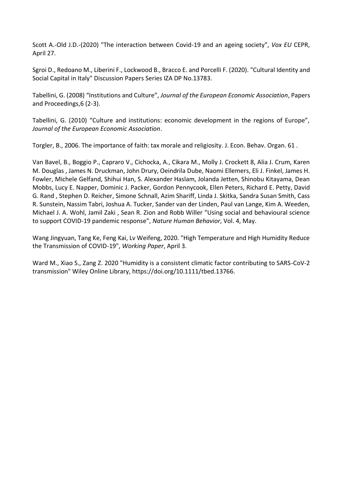Scott A.-Old J.D.-(2020) "The interaction between Covid-19 and an ageing society", *Vox EU* CEPR, April 27.

Sgroi D., Redoano M., Liberini F., Lockwood B., Bracco E. and Porcelli F. (2020). "Cultural Identity and Social Capital in Italy" Discussion Papers Series IZA DP No.13783.

Tabellini, G. (2008) "Institutions and Culture", *Journal of the European Economic Association*, Papers and Proceedings,6 (2-3).

Tabellini, G. (2010) "Culture and institutions: economic development in the regions of Europe", *Journal of the European Economic Association*.

Torgler, B., 2006. The importance of faith: tax morale and religiosity. J. Econ. Behav. Organ. 61 .

Van Bavel, B., Boggio P., Capraro V., Cichocka, A., Cikara M., Molly J. Crockett 8, Alia J. Crum, Karen M. Douglas , James N. Druckman, John Drury, Oeindrila Dube, Naomi Ellemers, Eli J. Finkel, James H. Fowler, Michele Gelfand, Shihui Han, S. Alexander Haslam, Jolanda Jetten, Shinobu Kitayama, Dean Mobbs, Lucy E. Napper, Dominic J. Packer, Gordon Pennycook, Ellen Peters, Richard E. Petty, David G. Rand , Stephen D. Reicher, Simone Schnall, Azim Shariff, Linda J. Skitka, Sandra Susan Smith, Cass R. Sunstein, Nassim Tabri, Joshua A. Tucker, Sander van der Linden, Paul van Lange, Kim A. Weeden, Michael J. A. Wohl, Jamil Zaki , Sean R. Zion and Robb Willer "Using social and behavioural science to support COVID-19 pandemic response", *Nature Human Behavior*, Vol. 4, May.

Wang Jingyuan, Tang Ke, Feng Kai, Lv Weifeng, 2020. "High Temperature and High Humidity Reduce the Transmission of COVID-19", *Working Paper*, April 3.

Ward M., Xiao S., Zang Z. 2020 "Humidity is a consistent climatic factor contributing to SARS-CoV-2 transmission" Wiley Online Library, https://doi.org/10.1111/tbed.13766.